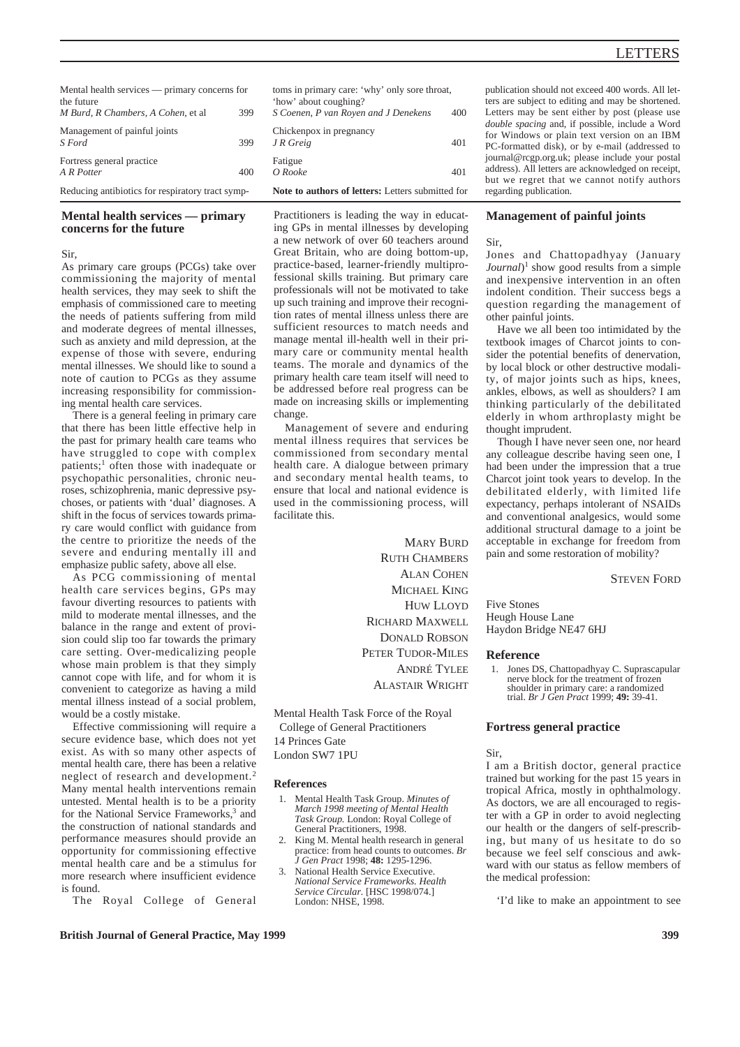| Mental health services — primary concerns for<br>the future |     | toms in<br>'how' a         |
|-------------------------------------------------------------|-----|----------------------------|
| M Burd, R Chambers, A Cohen, et al                          | 399 | S Coene                    |
| Management of painful joints<br>S Ford                      | 399 | Chicker<br>$J \, R \, Gre$ |
| Fortress general practice<br>A R Potter                     | 400 | Fatigue<br>O Rook          |
| Reducing antibiotics for respiratory tract symp-            |     | Note to                    |

# **Mental health services — primary concerns for the future**

#### Sir,

As primary care groups (PCGs) take over commissioning the majority of mental health services, they may seek to shift the emphasis of commissioned care to meeting the needs of patients suffering from mild and moderate degrees of mental illnesses, such as anxiety and mild depression, at the expense of those with severe, enduring mental illnesses. We should like to sound a note of caution to PCGs as they assume increasing responsibility for commissioning mental health care services.

There is a general feeling in primary care that there has been little effective help in the past for primary health care teams who have struggled to cope with complex patients;<sup>1</sup> often those with inadequate or psychopathic personalities, chronic neuroses, schizophrenia, manic depressive psychoses, or patients with 'dual' diagnoses. A shift in the focus of services towards primary care would conflict with guidance from the centre to prioritize the needs of the severe and enduring mentally ill and emphasize public safety, above all else.

As PCG commissioning of mental health care services begins, GPs may favour diverting resources to patients with mild to moderate mental illnesses, and the balance in the range and extent of provision could slip too far towards the primary care setting. Over-medicalizing people whose main problem is that they simply cannot cope with life, and for whom it is convenient to categorize as having a mild mental illness instead of a social problem, would be a costly mistake.

Effective commissioning will require a secure evidence base, which does not yet exist. As with so many other aspects of mental health care, there has been a relative neglect of research and development.2 Many mental health interventions remain untested. Mental health is to be a priority for the National Service Frameworks,<sup>3</sup> and the construction of national standards and performance measures should provide an opportunity for commissioning effective mental health care and be a stimulus for more research where insufficient evidence is found.

The Royal College of General

| toms in primary care: 'why' only sore throat,<br>'how' about coughing?<br>S Coenen, P van Royen and J Denekens | 400 |
|----------------------------------------------------------------------------------------------------------------|-----|
| Chickenpox in pregnancy<br>J R Greig                                                                           | 401 |
| Fatigue<br>$O$ Rooke                                                                                           | 401 |

**Note to authors of letters:** Letters submitted for

Practitioners is leading the way in educating GPs in mental illnesses by developing a new network of over 60 teachers around Great Britain, who are doing bottom-up, practice-based, learner-friendly multiprofessional skills training. But primary care professionals will not be motivated to take up such training and improve their recognition rates of mental illness unless there are sufficient resources to match needs and manage mental ill-health well in their primary care or community mental health teams. The morale and dynamics of the primary health care team itself will need to be addressed before real progress can be made on increasing skills or implementing change.

Management of severe and enduring mental illness requires that services be commissioned from secondary mental health care. A dialogue between primary and secondary mental health teams, to ensure that local and national evidence is used in the commissioning process, will facilitate this.

> **MARY BURD** RUTH CHAMBERS ALAN COHEN MICHAEL KING HUW LLOYD RICHARD MAXWELL DONALD ROBSON PETER TUDOR-MILES ANDRÉ TYLEE ALASTAIR WRIGHT

Mental Health Task Force of the Royal College of General Practitioners 14 Princes Gate London SW7 1PU

### **References**

- 1. Mental Health Task Group. *Minutes of March 1998 meeting of Mental Health Task Group.* London: Royal College of General Practitioners, 1998.
- 2. King M. Mental health research in general practice: from head counts to outcomes. *Br J Gen Pract* 1998; **48:** 1295-1296.
- National Health Service Executive. *National Service Frameworks. Health Service Circular.* [HSC 1998/074.] London: NHSE, 1998.

publication should not exceed 400 words. All letters are subject to editing and may be shortened. Letters may be sent either by post (please use *double spacing* and, if possible, include a Word for Windows or plain text version on an IBM PC-formatted disk), or by e-mail (addressed to journal@rcgp.org.uk; please include your postal address). All letters are acknowledged on receipt, but we regret that we cannot notify authors regarding publication.

# **Management of painful joints**

#### Sir,

Jones and Chattopadhyay (January *Journal*<sup>1</sup> show good results from a simple and inexpensive intervention in an often indolent condition. Their success begs a question regarding the management of other painful joints.

Have we all been too intimidated by the textbook images of Charcot joints to consider the potential benefits of denervation, by local block or other destructive modality, of major joints such as hips, knees, ankles, elbows, as well as shoulders? I am thinking particularly of the debilitated elderly in whom arthroplasty might be thought imprudent.

Though I have never seen one, nor heard any colleague describe having seen one, I had been under the impression that a true Charcot joint took years to develop. In the debilitated elderly, with limited life expectancy, perhaps intolerant of NSAIDs and conventional analgesics, would some additional structural damage to a joint be acceptable in exchange for freedom from pain and some restoration of mobility?

STEVEN FORD

Five Stones Heugh House Lane Haydon Bridge NE47 6HJ

#### **Reference**

1. Jones DS, Chattopadhyay C. Suprascapular nerve block for the treatment of frozen shoulder in primary care: a randomized trial. *Br J Gen Pract* 1999; **49:** 39-41.

### **Fortress general practice**

Sir,

I am a British doctor, general practice trained but working for the past 15 years in tropical Africa, mostly in ophthalmology. As doctors, we are all encouraged to register with a GP in order to avoid neglecting our health or the dangers of self-prescribing, but many of us hesitate to do so because we feel self conscious and awkward with our status as fellow members of the medical profession:

'I'd like to make an appointment to see

## **British Journal of General Practice, May 1999 399**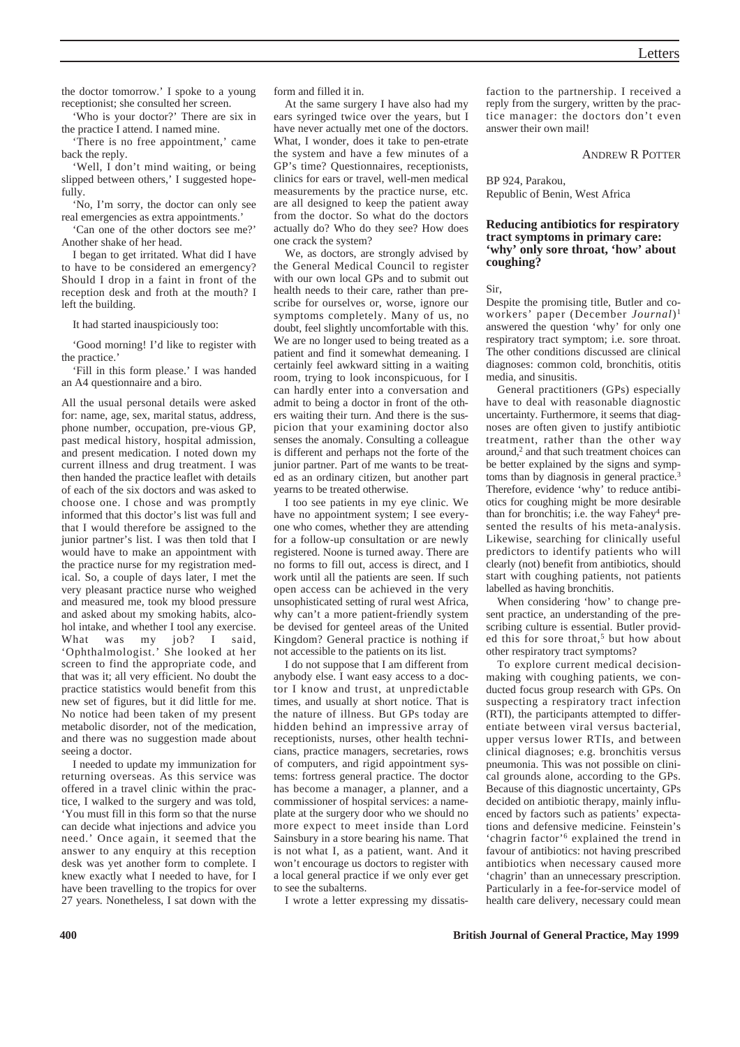the doctor tomorrow.' I spoke to a young receptionist; she consulted her screen.

'Who is your doctor?' There are six in the practice I attend. I named mine.

'There is no free appointment,' came back the reply.

'Well, I don't mind waiting, or being slipped between others,' I suggested hopefully.

'No, I'm sorry, the doctor can only see real emergencies as extra appointments.'

'Can one of the other doctors see me?' Another shake of her head.

I began to get irritated. What did I have to have to be considered an emergency? Should I drop in a faint in front of the reception desk and froth at the mouth? I left the building.

It had started inauspiciously too:

'Good morning! I'd like to register with the practice.'

'Fill in this form please.' I was handed an A4 questionnaire and a biro.

All the usual personal details were asked for: name, age, sex, marital status, address, phone number, occupation, pre-vious GP, past medical history, hospital admission, and present medication. I noted down my current illness and drug treatment. I was then handed the practice leaflet with details of each of the six doctors and was asked to choose one. I chose and was promptly informed that this doctor's list was full and that I would therefore be assigned to the junior partner's list. I was then told that I would have to make an appointment with the practice nurse for my registration medical. So, a couple of days later, I met the very pleasant practice nurse who weighed and measured me, took my blood pressure and asked about my smoking habits, alcohol intake, and whether I tool any exercise. What was my job? I said, 'Ophthalmologist.' She looked at her screen to find the appropriate code, and that was it; all very efficient. No doubt the practice statistics would benefit from this new set of figures, but it did little for me. No notice had been taken of my present metabolic disorder, not of the medication, and there was no suggestion made about seeing a doctor.

I needed to update my immunization for returning overseas. As this service was offered in a travel clinic within the practice, I walked to the surgery and was told, 'You must fill in this form so that the nurse can decide what injections and advice you need.' Once again, it seemed that the answer to any enquiry at this reception desk was yet another form to complete. I knew exactly what I needed to have, for I have been travelling to the tropics for over 27 years. Nonetheless, I sat down with the form and filled it in.

At the same surgery I have also had my ears syringed twice over the years, but I have never actually met one of the doctors. What, I wonder, does it take to pen-etrate the system and have a few minutes of a GP's time? Questionnaires, receptionists, clinics for ears or travel, well-men medical measurements by the practice nurse, etc. are all designed to keep the patient away from the doctor. So what do the doctors actually do? Who do they see? How does one crack the system?

We, as doctors, are strongly advised by the General Medical Council to register with our own local GPs and to submit out health needs to their care, rather than prescribe for ourselves or, worse, ignore our symptoms completely. Many of us, no doubt, feel slightly uncomfortable with this. We are no longer used to being treated as a patient and find it somewhat demeaning. I certainly feel awkward sitting in a waiting room, trying to look inconspicuous, for I can hardly enter into a conversation and admit to being a doctor in front of the others waiting their turn. And there is the suspicion that your examining doctor also senses the anomaly. Consulting a colleague is different and perhaps not the forte of the junior partner. Part of me wants to be treated as an ordinary citizen, but another part yearns to be treated otherwise.

I too see patients in my eye clinic. We have no appointment system; I see everyone who comes, whether they are attending for a follow-up consultation or are newly registered. Noone is turned away. There are no forms to fill out, access is direct, and I work until all the patients are seen. If such open access can be achieved in the very unsophisticated setting of rural west Africa, why can't a more patient-friendly system be devised for genteel areas of the United Kingdom? General practice is nothing if not accessible to the patients on its list.

I do not suppose that I am different from anybody else. I want easy access to a doctor I know and trust, at unpredictable times, and usually at short notice. That is the nature of illness. But GPs today are hidden behind an impressive array of receptionists, nurses, other health technicians, practice managers, secretaries, rows of computers, and rigid appointment systems: fortress general practice. The doctor has become a manager, a planner, and a commissioner of hospital services: a nameplate at the surgery door who we should no more expect to meet inside than Lord Sainsbury in a store bearing his name. That is not what I, as a patient, want. And it won't encourage us doctors to register with a local general practice if we only ever get to see the subalterns.

I wrote a letter expressing my dissatis-

faction to the partnership. I received a reply from the surgery, written by the practice manager: the doctors don't even answer their own mail!

ANDREW R POTTER

BP 924, Parakou, Republic of Benin, West Africa

# **Reducing antibiotics for respiratory tract symptoms in primary care: 'why' only sore throat, 'how' about coughing?**

Sir,

Despite the promising title, Butler and coworkers' paper (December *Journal*)1 answered the question 'why' for only one respiratory tract symptom; i.e. sore throat. The other conditions discussed are clinical diagnoses: common cold, bronchitis, otitis media, and sinusitis.

General practitioners (GPs) especially have to deal with reasonable diagnostic uncertainty. Furthermore, it seems that diagnoses are often given to justify antibiotic treatment, rather than the other way around,<sup>2</sup> and that such treatment choices can be better explained by the signs and symptoms than by diagnosis in general practice.<sup>3</sup> Therefore, evidence 'why' to reduce antibiotics for coughing might be more desirable than for bronchitis; i.e. the way Fahey<sup>4</sup> presented the results of his meta-analysis. Likewise, searching for clinically useful predictors to identify patients who will clearly (not) benefit from antibiotics, should start with coughing patients, not patients labelled as having bronchitis.

When considering 'how' to change present practice, an understanding of the prescribing culture is essential. Butler provided this for sore throat.<sup>5</sup> but how about other respiratory tract symptoms?

To explore current medical decisionmaking with coughing patients, we conducted focus group research with GPs. On suspecting a respiratory tract infection (RTI), the participants attempted to differentiate between viral versus bacterial, upper versus lower RTIs, and between clinical diagnoses; e.g. bronchitis versus pneumonia. This was not possible on clinical grounds alone, according to the GPs. Because of this diagnostic uncertainty, GPs decided on antibiotic therapy, mainly influenced by factors such as patients' expectations and defensive medicine. Feinstein's 'chagrin factor'6 explained the trend in favour of antibiotics: not having prescribed antibiotics when necessary caused more 'chagrin' than an unnecessary prescription. Particularly in a fee-for-service model of health care delivery, necessary could mean

**400 British Journal of General Practice, May 1999**